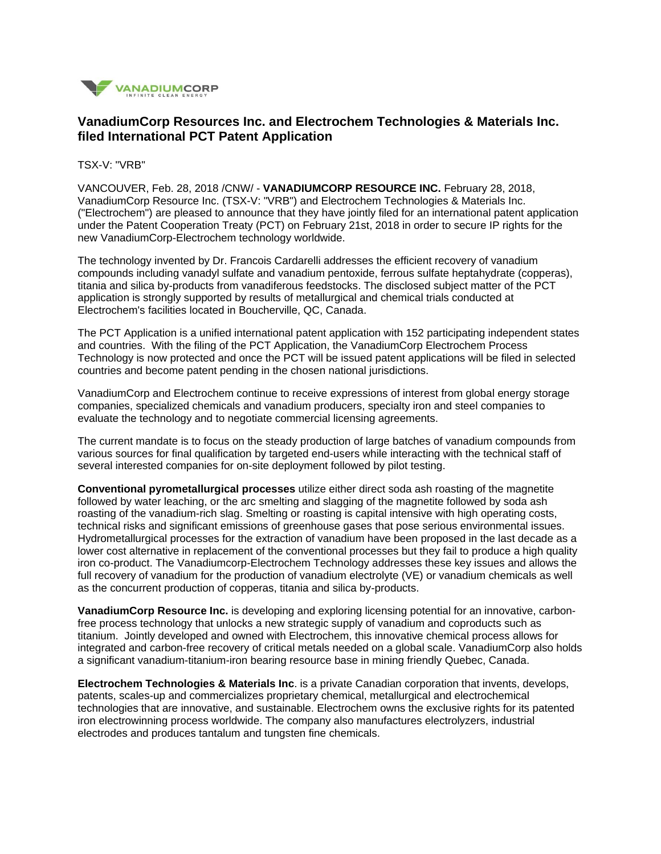

## **VanadiumCorp Resources Inc. and Electrochem Technologies & Materials Inc. filed International PCT Patent Application**

TSX-V: "VRB"

VANCOUVER, Feb. 28, 2018 /CNW/ - **VANADIUMCORP RESOURCE INC.** February 28, 2018, VanadiumCorp Resource Inc. (TSX-V: "VRB") and Electrochem Technologies & Materials Inc. ("Electrochem") are pleased to announce that they have jointly filed for an international patent application under the Patent Cooperation Treaty (PCT) on February 21st, 2018 in order to secure IP rights for the new VanadiumCorp-Electrochem technology worldwide.

The technology invented by Dr. Francois Cardarelli addresses the efficient recovery of vanadium compounds including vanadyl sulfate and vanadium pentoxide, ferrous sulfate heptahydrate (copperas), titania and silica by-products from vanadiferous feedstocks. The disclosed subject matter of the PCT application is strongly supported by results of metallurgical and chemical trials conducted at Electrochem's facilities located in Boucherville, QC, Canada.

The PCT Application is a unified international patent application with 152 participating independent states and countries. With the filing of the PCT Application, the VanadiumCorp Electrochem Process Technology is now protected and once the PCT will be issued patent applications will be filed in selected countries and become patent pending in the chosen national jurisdictions.

VanadiumCorp and Electrochem continue to receive expressions of interest from global energy storage companies, specialized chemicals and vanadium producers, specialty iron and steel companies to evaluate the technology and to negotiate commercial licensing agreements.

The current mandate is to focus on the steady production of large batches of vanadium compounds from various sources for final qualification by targeted end-users while interacting with the technical staff of several interested companies for on-site deployment followed by pilot testing.

**Conventional pyrometallurgical processes** utilize either direct soda ash roasting of the magnetite followed by water leaching, or the arc smelting and slagging of the magnetite followed by soda ash roasting of the vanadium-rich slag. Smelting or roasting is capital intensive with high operating costs, technical risks and significant emissions of greenhouse gases that pose serious environmental issues. Hydrometallurgical processes for the extraction of vanadium have been proposed in the last decade as a lower cost alternative in replacement of the conventional processes but they fail to produce a high quality iron co-product. The Vanadiumcorp-Electrochem Technology addresses these key issues and allows the full recovery of vanadium for the production of vanadium electrolyte (VE) or vanadium chemicals as well as the concurrent production of copperas, titania and silica by-products.

**VanadiumCorp Resource Inc.** is developing and exploring licensing potential for an innovative, carbonfree process technology that unlocks a new strategic supply of vanadium and coproducts such as titanium. Jointly developed and owned with Electrochem, this innovative chemical process allows for integrated and carbon-free recovery of critical metals needed on a global scale. VanadiumCorp also holds a significant vanadium-titanium-iron bearing resource base in mining friendly Quebec, Canada.

**Electrochem Technologies & Materials Inc**. is a private Canadian corporation that invents, develops, patents, scales-up and commercializes proprietary chemical, metallurgical and electrochemical technologies that are innovative, and sustainable. Electrochem owns the exclusive rights for its patented iron electrowinning process worldwide. The company also manufactures electrolyzers, industrial electrodes and produces tantalum and tungsten fine chemicals.